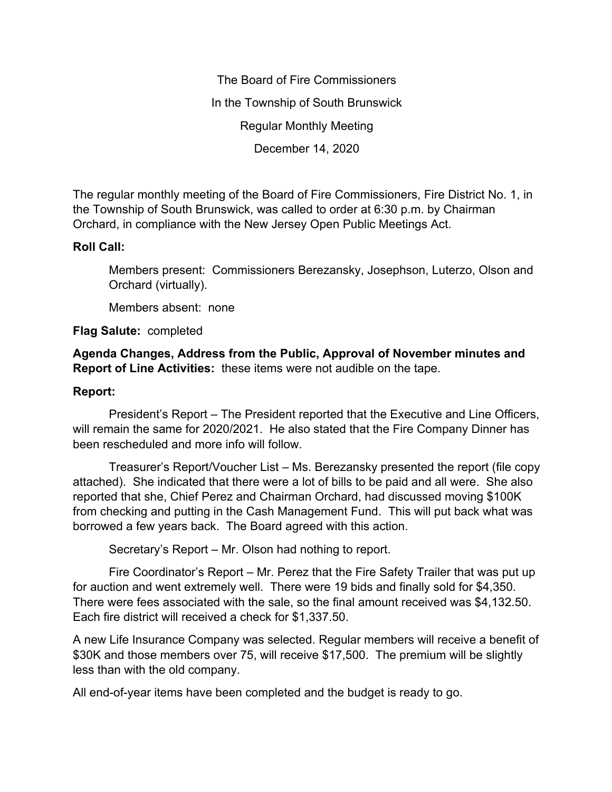The Board of Fire Commissioners In the Township of South Brunswick Regular Monthly Meeting December 14, 2020

The regular monthly meeting of the Board of Fire Commissioners, Fire District No. 1, in the Township of South Brunswick, was called to order at 6:30 p.m. by Chairman Orchard, in compliance with the New Jersey Open Public Meetings Act.

## **Roll Call:**

Members present: Commissioners Berezansky, Josephson, Luterzo, Olson and Orchard (virtually).

Members absent: none

## **Flag Salute:** completed

**Agenda Changes, Address from the Public, Approval of November minutes and Report of Line Activities:** these items were not audible on the tape.

## **Report:**

President's Report – The President reported that the Executive and Line Officers, will remain the same for 2020/2021. He also stated that the Fire Company Dinner has been rescheduled and more info will follow.

Treasurer's Report/Voucher List – Ms. Berezansky presented the report (file copy attached). She indicated that there were a lot of bills to be paid and all were. She also reported that she, Chief Perez and Chairman Orchard, had discussed moving \$100K from checking and putting in the Cash Management Fund. This will put back what was borrowed a few years back. The Board agreed with this action.

Secretary's Report – Mr. Olson had nothing to report.

Fire Coordinator's Report – Mr. Perez that the Fire Safety Trailer that was put up for auction and went extremely well. There were 19 bids and finally sold for \$4,350. There were fees associated with the sale, so the final amount received was \$4,132.50. Each fire district will received a check for \$1,337.50.

A new Life Insurance Company was selected. Regular members will receive a benefit of \$30K and those members over 75, will receive \$17,500. The premium will be slightly less than with the old company.

All end-of-year items have been completed and the budget is ready to go.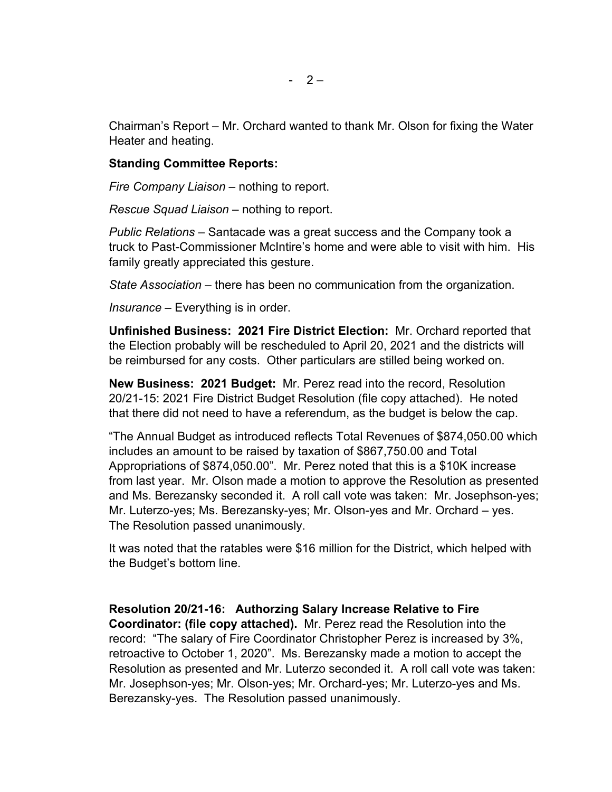Chairman's Report – Mr. Orchard wanted to thank Mr. Olson for fixing the Water Heater and heating.

## **Standing Committee Reports:**

*Fire Company Liaison –* nothing to report.

*Rescue Squad Liaison –* nothing to report.

*Public Relations –* Santacade was a great success and the Company took a truck to Past-Commissioner McIntire's home and were able to visit with him. His family greatly appreciated this gesture.

*State Association –* there has been no communication from the organization.

*Insurance –* Everything is in order.

**Unfinished Business: 2021 Fire District Election:** Mr. Orchard reported that the Election probably will be rescheduled to April 20, 2021 and the districts will be reimbursed for any costs. Other particulars are stilled being worked on.

**New Business: 2021 Budget:** Mr. Perez read into the record, Resolution 20/21-15: 2021 Fire District Budget Resolution (file copy attached). He noted that there did not need to have a referendum, as the budget is below the cap.

"The Annual Budget as introduced reflects Total Revenues of \$874,050.00 which includes an amount to be raised by taxation of \$867,750.00 and Total Appropriations of \$874,050.00". Mr. Perez noted that this is a \$10K increase from last year. Mr. Olson made a motion to approve the Resolution as presented and Ms. Berezansky seconded it. A roll call vote was taken: Mr. Josephson-yes; Mr. Luterzo-yes; Ms. Berezansky-yes; Mr. Olson-yes and Mr. Orchard – yes. The Resolution passed unanimously.

It was noted that the ratables were \$16 million for the District, which helped with the Budget's bottom line.

**Resolution 20/21-16: Authorzing Salary Increase Relative to Fire** 

**Coordinator: (file copy attached).** Mr. Perez read the Resolution into the record: "The salary of Fire Coordinator Christopher Perez is increased by 3%, retroactive to October 1, 2020". Ms. Berezansky made a motion to accept the Resolution as presented and Mr. Luterzo seconded it. A roll call vote was taken: Mr. Josephson-yes; Mr. Olson-yes; Mr. Orchard-yes; Mr. Luterzo-yes and Ms. Berezansky-yes. The Resolution passed unanimously.